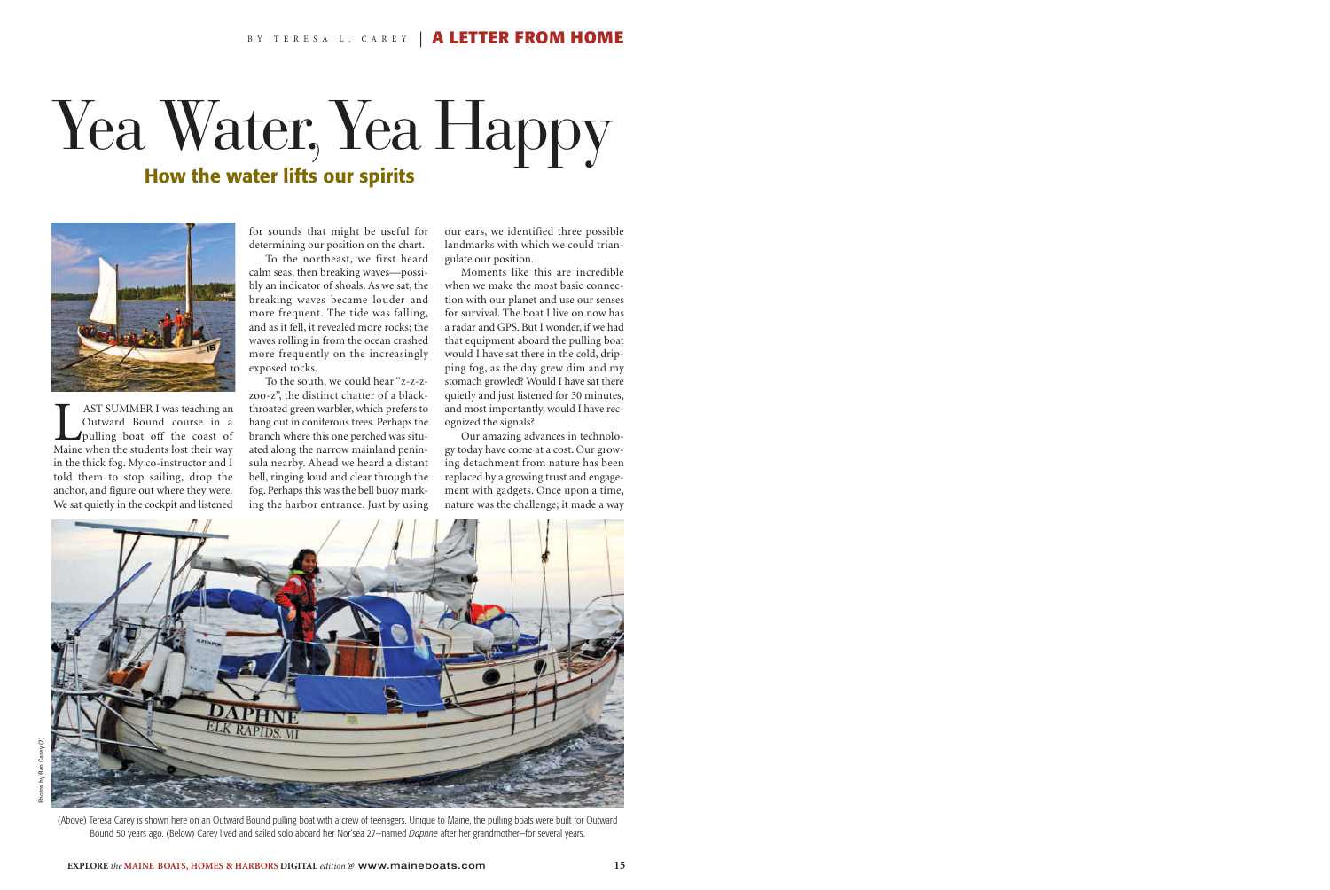## Yea Water, Yea Happy **How the water lifts our spirits**



**LAST SUMMER I was teaching an Outward Bound course in a**<br>pulling boat off the coast of Maine when the students lost their way Outward Bound course in a pulling boat off the coast of Maine when the students lost their way in the thick fog. My co-instructor and I told them to stop sailing, drop the anchor, and figure out where they were. We sat quietly in the cockpit and listened

for sounds that might be useful for determining our position on the chart.

To the northeast, we first heard calm seas, then breaking waves—possibly an indicator of shoals. As we sat, the breaking waves became louder and more frequent. The tide was falling, and as it fell, it revealed more rocks; the waves rolling in from the ocean crashed more frequently on the increasingly exposed rocks.

To the south, we could hear "z-z-zzoo-z", the distinct chatter of a blackthroated green warbler, which prefers to hang out in coniferous trees. Perhaps the branch where this one perched was situated along the narrow mainland peninsula nearby. Ahead we heard a distant bell, ringing loud and clear through the fog. Perhaps this was the bell buoy marking the harbor entrance. Just by using our ears, we identified three possible landmarks with which we could triangulate our position.

Moments like this are incredible when we make the most basic connection with our planet and use our senses for survival. The boat I live on now has a radar and GPS. But I wonder, if we had that equipment aboard the pulling boat would I have sat there in the cold, dripping fog, as the day grew dim and my stomach growled? Would I have sat there quietly and just listened for 30 minutes, and most importantly, would I have recognized the signals?

Our amazing advances in technology today have come at a cost. Our growing detachment from nature has been replaced by a growing trust and engagement with gadgets. Once upon a time, nature was the challenge; it made a way



(Above) Teresa Carey is shown here on an Outward Bound pulling boat with a crew of teenagers. Unique to Maine, the pulling boats were built for Outward Bound 50 years ago. (Below) Carey lived and sailed solo aboard her Nor'sea 27—named *Daphne* after her grandmother—for several years.